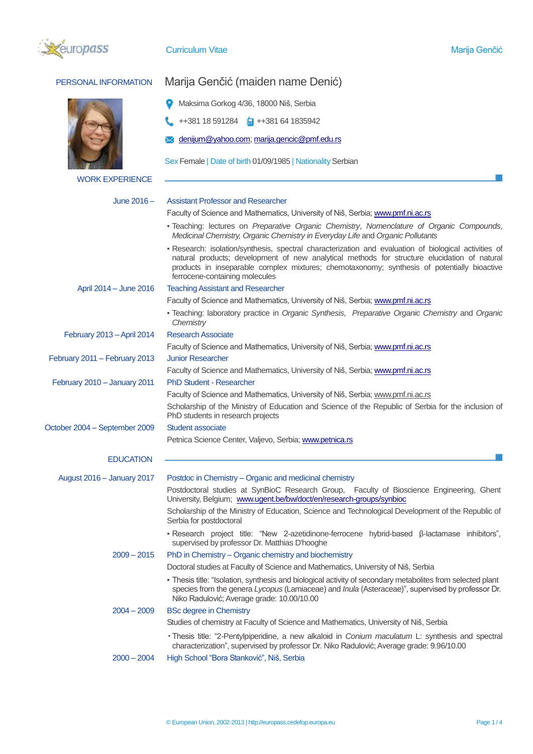

| PERSONAL INFORMATION          | Marija Genčić (maiden name Denić)                                                                                                                                                                                                                                                                                                      |  |  |  |  |
|-------------------------------|----------------------------------------------------------------------------------------------------------------------------------------------------------------------------------------------------------------------------------------------------------------------------------------------------------------------------------------|--|--|--|--|
|                               | Maksima Gorkog 4/36, 18000 Niš, Serbia                                                                                                                                                                                                                                                                                                 |  |  |  |  |
|                               | ++381 18 591284 <b>a</b> ++381 64 1835942                                                                                                                                                                                                                                                                                              |  |  |  |  |
|                               | denijum@yahoo.com; marija.gencic@pmf.edu.rs                                                                                                                                                                                                                                                                                            |  |  |  |  |
|                               | Sex Female   Date of birth 01/09/1985   Nationality Serbian                                                                                                                                                                                                                                                                            |  |  |  |  |
| <b>WORK EXPERIENCE</b>        |                                                                                                                                                                                                                                                                                                                                        |  |  |  |  |
| June $2016 -$                 | <b>Assistant Professor and Researcher</b>                                                                                                                                                                                                                                                                                              |  |  |  |  |
|                               | Faculty of Science and Mathematics, University of Niš, Serbia; www.pmf.ni.ac.rs                                                                                                                                                                                                                                                        |  |  |  |  |
|                               | - Teaching: lectures on Preparative Organic Chemistry, Nomenclature of Organic Compounds,<br>Medicinal Chemistry, Organic Chemistry in Everyday Life and Organic Pollutants                                                                                                                                                            |  |  |  |  |
|                               | - Research: isolation/synthesis, spectral characterization and evaluation of biological activities of<br>natural products; development of new analytical methods for structure elucidation of natural<br>products in inseparable complex mixtures; chemotaxonomy; synthesis of potentially bioactive<br>ferrocene-containing molecules |  |  |  |  |
| April 2014 - June 2016        | <b>Teaching Assistant and Researcher</b>                                                                                                                                                                                                                                                                                               |  |  |  |  |
|                               | Faculty of Science and Mathematics, University of Niš, Serbia; www.pmf.ni.ac.rs                                                                                                                                                                                                                                                        |  |  |  |  |
|                               | - Teaching: laboratory practice in Organic Synthesis, Preparative Organic Chemistry and Organic<br>Chemistry                                                                                                                                                                                                                           |  |  |  |  |
| February 2013 - April 2014    | <b>Research Associate</b>                                                                                                                                                                                                                                                                                                              |  |  |  |  |
|                               | Faculty of Science and Mathematics, University of Niš, Serbia; www.pmf.ni.ac.rs                                                                                                                                                                                                                                                        |  |  |  |  |
| February 2011 - February 2013 | <b>Junior Researcher</b>                                                                                                                                                                                                                                                                                                               |  |  |  |  |
| February 2010 - January 2011  | Faculty of Science and Mathematics, University of Niš, Serbia; www.pmf.ni.ac.rs<br><b>PhD Student - Researcher</b>                                                                                                                                                                                                                     |  |  |  |  |
|                               | Faculty of Science and Mathematics, University of Niš, Serbia; www.pmf.ni.ac.rs                                                                                                                                                                                                                                                        |  |  |  |  |
|                               | Scholarship of the Ministry of Education and Science of the Republic of Serbia for the inclusion of<br>PhD students in research projects                                                                                                                                                                                               |  |  |  |  |
| October 2004 - September 2009 | Student associate                                                                                                                                                                                                                                                                                                                      |  |  |  |  |
|                               | Petnica Science Center, Valjevo, Serbia; www.petnica.rs                                                                                                                                                                                                                                                                                |  |  |  |  |
| <b>EDUCATION</b>              |                                                                                                                                                                                                                                                                                                                                        |  |  |  |  |
| August 2016 - January 2017    | Postdoc in Chemistry - Organic and medicinal chemistry                                                                                                                                                                                                                                                                                 |  |  |  |  |
|                               | Postdoctoral studies at SynBioC Research Group, Faculty of Bioscience Engineering, Ghent<br>University, Belgium; www.ugent.be/bw/doct/en/research-groups/synbioc                                                                                                                                                                       |  |  |  |  |
|                               | Scholarship of the Ministry of Education, Science and Technological Development of the Republic of<br>Serbia for postdoctoral                                                                                                                                                                                                          |  |  |  |  |
|                               | • Research project title: "New 2-azetidinone-ferrocene hybrid-based β-lactamase inhibitors",<br>supervised by professor Dr. Matthias D'hooghe                                                                                                                                                                                          |  |  |  |  |
| $2009 - 2015$                 | PhD in Chemistry - Organic chemistry and biochemistry                                                                                                                                                                                                                                                                                  |  |  |  |  |
|                               | Doctoral studies at Faculty of Science and Mathematics, University of Niš, Serbia                                                                                                                                                                                                                                                      |  |  |  |  |
|                               | - Thesis title: "Isolation, synthesis and biological activity of secondary metabolites from selected plant<br>species from the genera Lycopus (Lamiaceae) and Inula (Asteraceae)", supervised by professor Dr.<br>Niko Radulović; Average grade: 10.00/10.00                                                                           |  |  |  |  |
| $2004 - 2009$                 | <b>BSc degree in Chemistry</b>                                                                                                                                                                                                                                                                                                         |  |  |  |  |
|                               | Studies of chemistry at Faculty of Science and Mathematics, University of Niš, Serbia                                                                                                                                                                                                                                                  |  |  |  |  |
|                               | • Thesis title: "2-Pentylpiperidine, a new alkaloid in <i>Conium maculatum</i> L: synthesis and spectral<br>characterization", supervised by professor Dr. Niko Radulović; Average grade: 9.96/10.00                                                                                                                                   |  |  |  |  |
| $2000 - 2004$                 | High School "Bora Stanković", Niš, Serbia                                                                                                                                                                                                                                                                                              |  |  |  |  |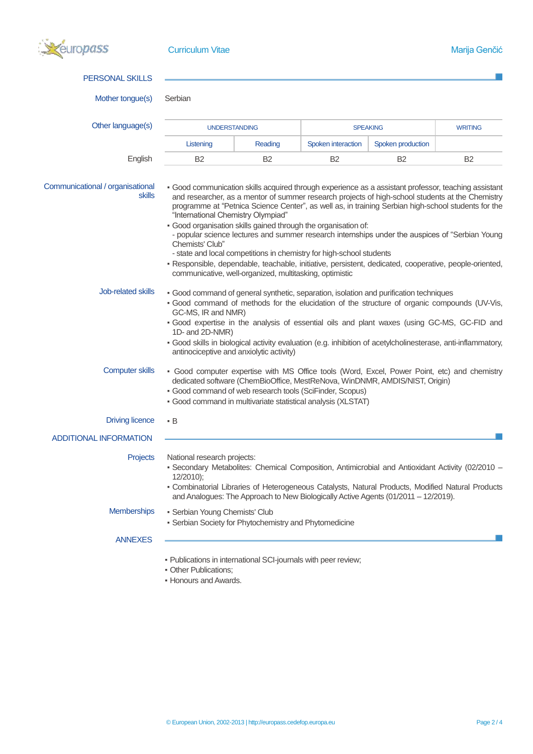

| <b>PERSONAL SKILLS</b>                     |                                                                                                                                                                                                                                                                                                                                                                                                                         |                |                    |                   |                |  |  |
|--------------------------------------------|-------------------------------------------------------------------------------------------------------------------------------------------------------------------------------------------------------------------------------------------------------------------------------------------------------------------------------------------------------------------------------------------------------------------------|----------------|--------------------|-------------------|----------------|--|--|
| Mother tongue(s)                           | Serbian                                                                                                                                                                                                                                                                                                                                                                                                                 |                |                    |                   |                |  |  |
| Other language(s)                          | <b>UNDERSTANDING</b>                                                                                                                                                                                                                                                                                                                                                                                                    |                | <b>SPEAKING</b>    |                   | <b>WRITING</b> |  |  |
|                                            | Listening                                                                                                                                                                                                                                                                                                                                                                                                               | Reading        | Spoken interaction | Spoken production |                |  |  |
| English                                    | <b>B2</b>                                                                                                                                                                                                                                                                                                                                                                                                               | B <sub>2</sub> | <b>B2</b>          | <b>B2</b>         | <b>B2</b>      |  |  |
| Communicational / organisational<br>skills | - Good communication skills acquired through experience as a assistant professor, teaching assistant<br>and researcher, as a mentor of summer research projects of high-school students at the Chemistry<br>programme at "Petnica Science Center", as well as, in training Serbian high-school students for the<br>"International Chemistry Olympiad"<br>- Good organisation skills gained through the organisation of: |                |                    |                   |                |  |  |
|                                            | - popular science lectures and summer research internships under the auspices of "Serbian Young<br>Chemists' Club"                                                                                                                                                                                                                                                                                                      |                |                    |                   |                |  |  |
|                                            | - state and local competitions in chemistry for high-school students<br>- Responsible, dependable, teachable, initiative, persistent, dedicated, cooperative, people-oriented,<br>communicative, well-organized, multitasking, optimistic                                                                                                                                                                               |                |                    |                   |                |  |  |
| Job-related skills                         | - Good command of general synthetic, separation, isolation and purification techniques<br>- Good command of methods for the elucidation of the structure of organic compounds (UV-Vis,<br>GC-MS, IR and NMR)<br>. Good expertise in the analysis of essential oils and plant waxes (using GC-MS, GC-FID and                                                                                                             |                |                    |                   |                |  |  |
|                                            | 1D- and 2D-NMR)<br>- Good skills in biological activity evaluation (e.g. inhibition of acetylcholinesterase, anti-inflammatory,<br>antinociceptive and anxiolytic activity)                                                                                                                                                                                                                                             |                |                    |                   |                |  |  |
| <b>Computer skills</b>                     | - Good computer expertise with MS Office tools (Word, Excel, Power Point, etc) and chemistry<br>dedicated software (ChemBioOffice, MestReNova, WinDNMR, AMDIS/NIST, Origin)<br>• Good command of web research tools (SciFinder, Scopus)<br>· Good command in multivariate statistical analysis (XLSTAT)                                                                                                                 |                |                    |                   |                |  |  |
| <b>Driving licence</b>                     | • B                                                                                                                                                                                                                                                                                                                                                                                                                     |                |                    |                   |                |  |  |
| <b>ADDITIONAL INFORMATION</b>              |                                                                                                                                                                                                                                                                                                                                                                                                                         |                |                    |                   |                |  |  |
| Projects                                   | National research projects:<br>- Secondary Metabolites: Chemical Composition, Antimicrobial and Antioxidant Activity (02/2010 -<br>12/2010);<br>- Combinatorial Libraries of Heterogeneous Catalysts, Natural Products, Modified Natural Products                                                                                                                                                                       |                |                    |                   |                |  |  |
|                                            | and Analogues: The Approach to New Biologically Active Agents (01/2011 - 12/2019).                                                                                                                                                                                                                                                                                                                                      |                |                    |                   |                |  |  |
| <b>Memberships</b>                         | • Serbian Young Chemists' Club<br>- Serbian Society for Phytochemistry and Phytomedicine                                                                                                                                                                                                                                                                                                                                |                |                    |                   |                |  |  |
| <b>ANNEXES</b>                             |                                                                                                                                                                                                                                                                                                                                                                                                                         |                |                    |                   |                |  |  |
|                                            | - Publications in international SCI-journals with peer review;<br>· Other Publications;<br>. Honours and Awards.                                                                                                                                                                                                                                                                                                        |                |                    |                   |                |  |  |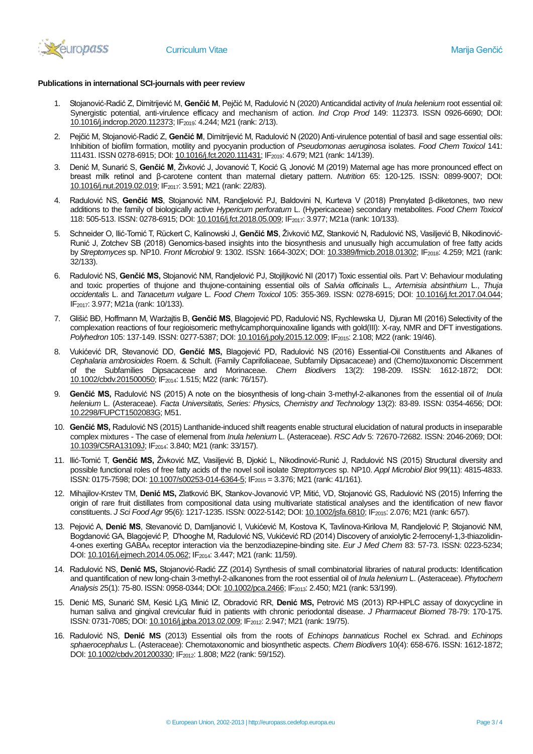

## **Publications in international SCI-journals with peer review**

- 1. Stojanović-Radić Z, Dimitrijević M, **Genčić M**, Pejčić M, Radulović N (2020) Anticandidal activity of *Inula helenium* root essential oil: Synergistic potential, anti-virulence efficacy and mechanism of action. *Ind Crop Prod* 149: 112373. ISSN 0926-6690; DOI: [10.1016/j.indcrop.2020.112373;](https://doi.org/10.1016/j.indcrop.2020.112373) IF2019: 4.244; M21 (rank: 2/13).
- 2. Pejčić M, Stojanović-Radić Z, **Genčić M**, Dimitrijević M, Radulović N (2020) Anti-virulence potential of basil and sage essential oils: Inhibition of biofilm formation, motility and pyocyanin production of *Pseudomonas aeruginosa* isolates. *Food Chem Toxicol* 141: 111431. ISSN 0278-6915; DOI[: 10.1016/j.fct.2020.111431;](https://doi.org/10.1016/j.fct.2020.111431) IF<sub>2019</sub>: 4.679; M21 (rank: 14/139).
- 3. Denić M, Sunarić S, **Genčić M**, Živković J, Jovanović T, Kocić G, Jonović M (2019) Maternal age has more pronounced effect on breast milk retinol and β-carotene content than maternal dietary pattern. *Nutrition* 65: 120-125. ISSN: 0899-9007; DOI: [10.1016/j.nut.2019.02.019;](https://doi.org/10.1016/j.nut.2019.02.019) IF2017: 3.591; M21 (rank: 22/83).
- 4. Radulović NS, **Genčić MS**, Stojanović NM, Randjelović PJ, Baldovini N, Kurteva V (2018) Prenylated β-diketones, two new additions to the family of biologically active *Hypericum perforatum* L. (Hypericaceae) secondary metabolites. *Food Chem Toxicol* 118: 505-513. ISSN: 0278-6915; DOI[: 10.1016/j.fct.2018.05.009;](https://doi.org/10.1016/j.fct.2018.05.009) IF2017: 3.977; M21a (rank: 10/133).
- 5. Schneider O, Ilić-Tomić T, Rückert C, Kalinowski J, **Genčić MS**, Živković MZ, Stanković N, Radulović NS, Vasiljević B, Nikodinović-Runić J, Zotchev SB (2018) Genomics-based insights into the biosynthesis and unusually high accumulation of free fatty acids by *Streptomyces* sp. NP10. *Front Microbiol* 9: 1302. ISSN: 1664-302X; DOI: [10.3389/fmicb.2018.01302;](10.3389/fmicb.2018.01302) IF2018: 4.259; M21 (rank: 32/133).
- 6. Radulović NS, **Genčić MS,** Stojanović NM, Randjelović PJ, Stojiljković NI (2017) Toxic essential oils. Part V: Behaviour modulating and toxic properties of thujone and thujone-containing essential oils of *Salvia officinalis* L., *Artemisia absinthium* L., *Thuja occidentalis* L. and *Tanacetum vulgare* L. *Food Chem Toxicol* 105: 355-369. ISSN: 0278-6915; DOI: [10.1016/j.fct.2017.04.044;](10.1016/j.fct.2017.04.044) IF2017: 3.977; M21a (rank: 10/133).
- 7. Glišić BĐ, Hoffmann M, Warżajtis B, **Genčić МS**, Blagojević PD, Radulović NS, Rychlewska U, Djuran MI (2016) Selectivity of the complexation reactions of four regioisomeric methylcamphorquinoxaline ligands with gold(III): X-ray, NMR and DFT investigations. *Polyhedron* 105: 137-149. ISSN: 0277-5387; DOI[: 10.1016/j.poly.2015.12.009;](https://doi.org/10.1016/j.poly.2015.12.009) IF<sub>2015</sub>: 2.108; M22 (rank: 19/46).
- 8. Vukićević DR, Stevanović DD, **Genčić MS,** Blagojević PD, Radulović NS (2016) Essential-Oil Constituents and Alkanes of *Cephalaria ambrosioides* Roem. & Schult. (Family Caprifoliaceae, Subfamily Dipsacaceae) and (Chemo)taxonomic Discernment of the Subfamilies Dipsacaceae and Morinaceae. *Chem Biodivers* 13(2): 198-209. ISSN: 1612-1872; DOI: [10.1002/cbdv.201500050;](10.1002/cbdv.201500050) IF2014: 1.515; M22 (rank: 76/157).
- 9. **Genčić MS,** Radulović NS (2015) A note on the biosynthesis of long-chain 3-methyl-2-alkanones from the essential oil of *Inula helenium* L. (Asteraceae). *Facta Universitatis, Series: Physics, Chemistry and Technology* 13(2): 83-89. ISSN: 0354-4656; DOI: [10.2298/FUPCT1502083G;](10.2298/FUPCT1502083G) M51.
- 10. **Genčić МS,** Radulović NS (2015) Lanthanide-induced shift reagents enable structural elucidation of natural products in inseparable complex mixtures - The case of elemenal from *Inula helenium* L. (Asteraceae). *RSC Adv* 5: 72670-72682. ISSN: 2046-2069; DOI: [10.1039/C5RA13109J;](10.1039/C5RA13109J) IF2014: 3.840; M21 (rank: 33/157).
- 11. Ilić-Tomić Т, **Genčić МS,** Živković MZ, Vasiljević B, Djokić L, Nikodinović-Runić J, Radulović NS (2015) Structural diversity and possible functional roles of free fatty acids of the novel soil isolate *Streptomyces* sp. NP10. *Appl Microbiol Biot* 99(11): 4815-4833. ISSN: 0175-7598; DOI: [10.1007/s00253-014-6364-5;](10.1007/s00253-014-6364-5) IF<sup>2015</sup> = 3.376; M21 (rank: 41/161).
- 12. Mihajilov-Krstev TM, **Denić MS,** Zlatković BK, Stankov-Jovanović VP, Mitić, VD, Stojanović GS, Radulović NS (2015) Inferring the origin of rare fruit distillates from compositional data using multivariate statistical analyses and the identification of new flavor constituents. *J Sci Food Agr* 95(6): 1217-1235. ISSN: 0022-5142; DOI[: 10.1002/jsfa.6810;](10.1002/jsfa.6810) IF2015: 2.076; M21 (rank: 6/57).
- 13. Pejović A, **Denić MS**, Stevanović D, Damljanović I, Vukićević M, Kostova K, Tavlinova-Kirilova M, Randjelović P, Stojanović NM, Bogdanović GA, Blagojević P, D'hooghe M, Radulović NS, Vukićević RD (2014) Discovery of anxiolytic 2-ferrocenyl-1,3-thiazolidin-4-ones exerting GABA<sup>A</sup> receptor interaction via the benzodiazepine-binding site. *Eur J Med Chem* 83: 57-73. ISSN: 0223-5234; DOI: [10.1016/j.ejmech.2014.05.062;](https://doi.org/10.1016/j.ejmech.2014.05.062) IF<sub>2014</sub>: 3.447; M21 (rank: 11/59).
- 14. Radulović NS, **Denić MS,** Stojanović-Radić ZZ (2014) Synthesis of small combinatorial libraries of natural products: Identification and quantification of new long-chain 3-methyl-2-alkanones from the root essential oil of *Inula helenium* L. (Asteraceae). *Phytochem Analysis* 25(1): 75-80. ISSN: 0958-0344; DOI[: 10.1002/pca.2466;](10.1002/pca.2466) IF2013: 2.450; M21 (rank: 53/199).
- 15. Denić MS, Sunarić SM, Kesić LjG, Minić IZ, Obradović RR, **Denić MS,** Petrović MS (2013) RP-HPLC assay of doxycycline in human saliva and gingival crevicular fluid in patients with chronic periodontal disease. *J Pharmaceut Biomed* 78-79: 170-175. ISSN: 0731-7085; DOI: [10.1016/j.jpba.2013.02.009;](10.1016/j.jpba.2013.02.009) IF<sub>2012</sub>: 2.947; M21 (rank: 19/75).
- 16. Radulović NS, **Denić MS** (2013) Essential oils from the roots of *Echinops bannaticus* Rochel ex Schrad. and *Echinops sphaerocephalus* L. (Asteraceae): Chemotaxonomic and biosynthetic aspects. *Chem Biodivers* 10(4): 658-676. ISSN: 1612-1872; DOI: [10.1002/cbdv.201200330;](10.1002/cbdv.201200330) IF<sub>2012</sub>: 1.808; M22 (rank: 59/152).